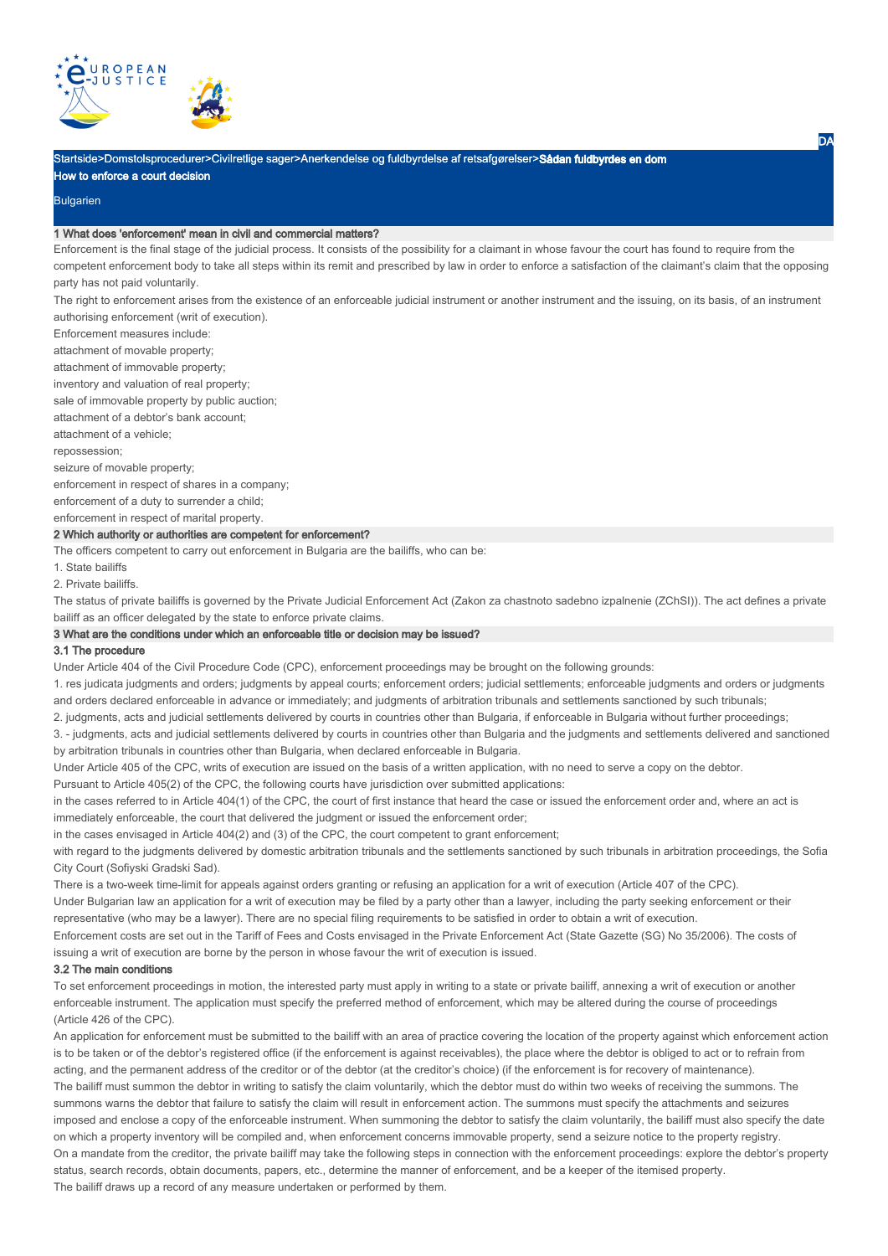

Startside>Domstolsprocedurer>Civilretlige sager>Anerkendelse og fuldbyrdelse af retsafgørelser>**Sådan fuldbyrdes en dom** 

How to enforce a court decision

### Bulgarien

# 1 What does 'enforcement' mean in civil and commercial matters?

Enforcement is the final stage of the judicial process. It consists of the possibility for a claimant in whose favour the court has found to require from the competent enforcement body to take all steps within its remit and prescribed by law in order to enforce a satisfaction of the claimant's claim that the opposing party has not paid voluntarily.

The right to enforcement arises from the existence of an enforceable judicial instrument or another instrument and the issuing, on its basis, of an instrument authorising enforcement (writ of execution).

Enforcement measures include:

attachment of movable property;

attachment of immovable property;

inventory and valuation of real property;

sale of immovable property by public auction;

attachment of a debtor's bank account;

attachment of a vehicle; repossession;

seizure of movable property;

enforcement in respect of shares in a company;

enforcement of a duty to surrender a child;

enforcement in respect of marital property.

# 2 Which authority or authorities are competent for enforcement?

The officers competent to carry out enforcement in Bulgaria are the bailiffs, who can be:

1. State bailiffs

2. Private bailiffs.

The status of private bailiffs is governed by the Private Judicial Enforcement Act (Zakon za chastnoto sadebno izpalnenie (ZChSI)). The act defines a private bailiff as an officer delegated by the state to enforce private claims.

# 3 What are the conditions under which an enforceable title or decision may be issued?

#### 3.1 The procedure

Under Article 404 of the Civil Procedure Codе (CPC), enforcement proceedings may be brought on the following grounds:

1. res judicata judgments and orders; judgments by appeal courts; enforcement orders; judicial settlements; enforceable judgments and orders or judgments and orders declared enforceable in advance or immediately; and judgments of arbitration tribunals and settlements sanctioned by such tribunals;

2. judgments, acts and judicial settlements delivered by courts in countries other than Bulgaria, if enforceable in Bulgaria without further proceedings;

3. - judgments, acts and judicial settlements delivered by courts in countries other than Bulgaria and the judgments and settlements delivered and sanctioned by arbitration tribunals in countries other than Bulgaria, when declared enforceable in Bulgaria.

Under Article 405 of the CPC, writs of execution are issued on the basis of a written application, with no need to serve a copy on the debtor.

Pursuant to Article 405(2) of the CPC, the following courts have jurisdiction over submitted applications:

in the cases referred to in Article 404(1) of the CPC, the court of first instance that heard the case or issued the enforcement order and, where an act is immediately enforceable, the court that delivered the judgment or issued the enforcement order;

in the cases envisaged in Article 404(2) and (3) of the CPC, the court competent to grant enforcement;

with regard to the judgments delivered by domestic arbitration tribunals and the settlements sanctioned by such tribunals in arbitration proceedings, the Sofia City Court (Sofiyski Gradski Sad).

There is a two-week time-limit for appeals against orders granting or refusing an application for a writ of execution (Article 407 of the CPC).

Under Bulgarian law an application for a writ of execution may be filed by a party other than a lawyer, including the party seeking enforcement or their representative (who may be a lawyer). There are no special filing requirements to be satisfied in order to obtain a writ of execution.

Enforcement costs are set out in the Tariff of Fees and Costs envisaged in the Private Enforcement Act (State Gazette (SG) No 35/2006). The costs of issuing a writ of execution are borne by the person in whose favour the writ of execution is issued.

#### 3.2 The main conditions

To set enforcement proceedings in motion, the interested party must apply in writing to a state or private bailiff, annexing a writ of execution or another enforceable instrument. The application must specify the preferred method of enforcement, which may be altered during the course of proceedings (Article 426 of the CPC).

An application for enforcement must be submitted to the bailiff with an area of practice covering the location of the property against which enforcement action is to be taken or of the debtor's registered office (if the enforcement is against receivables), the place where the debtor is obliged to act or to refrain from acting, and the permanent address of the creditor or of the debtor (at the creditor's choice) (if the enforcement is for recovery of maintenance). The bailiff must summon the debtor in writing to satisfy the claim voluntarily, which the debtor must do within two weeks of receiving the summons. The summons warns the debtor that failure to satisfy the claim will result in enforcement action. The summons must specify the attachments and seizures imposed and enclose a copy of the enforceable instrument. When summoning the debtor to satisfy the claim voluntarily, the bailiff must also specify the date on which a property inventory will be compiled and, when enforcement concerns immovable property, send a seizure notice to the property registry. On a mandate from the creditor, the private bailiff may take the following steps in connection with the enforcement proceedings: explore the debtor's property status, search records, obtain documents, papers, etc., determine the manner of enforcement, and be a keeper of the itemised property. The bailiff draws up a record of any measure undertaken or performed by them.

**DA**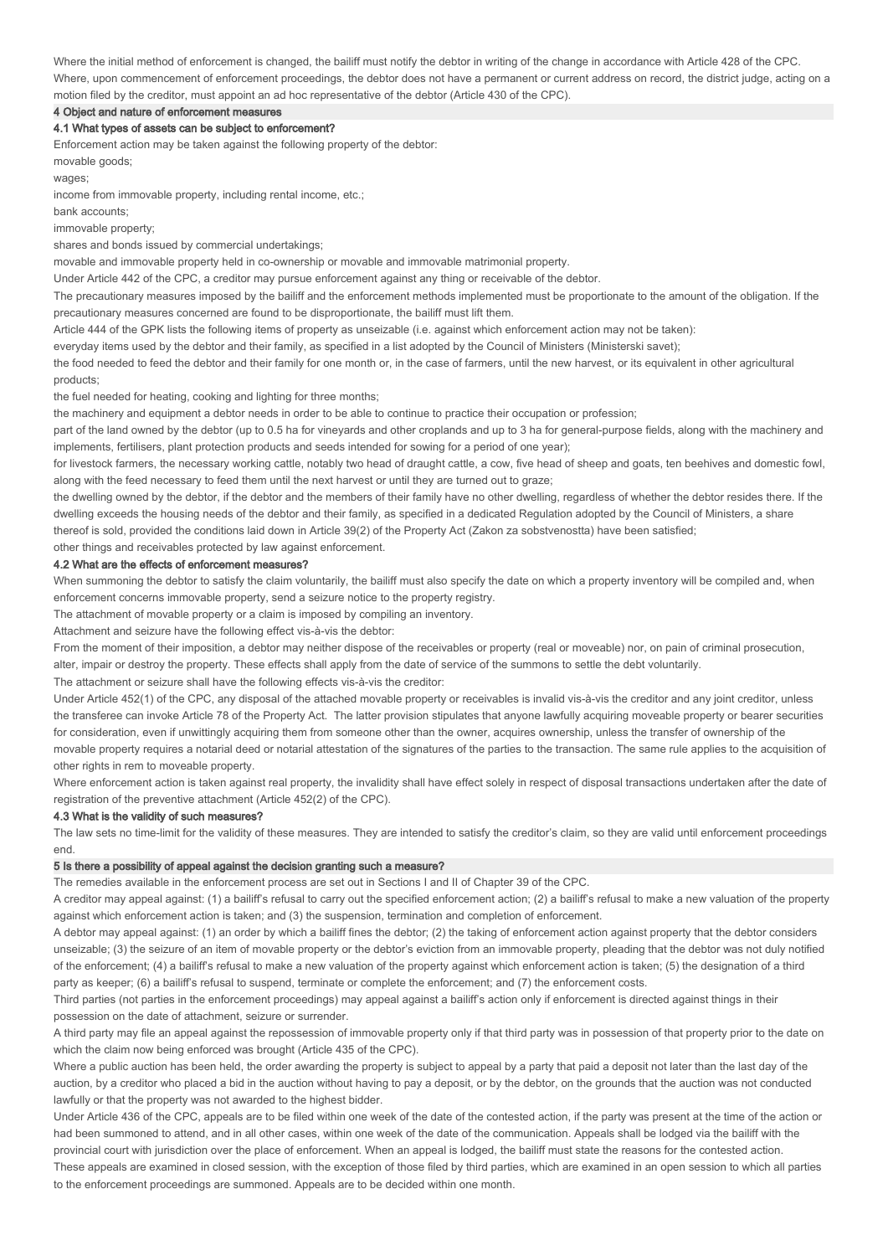Where the initial method of enforcement is changed, the bailiff must notify the debtor in writing of the change in accordance with Article 428 of the CPC. Where, upon commencement of enforcement proceedings, the debtor does not have a permanent or current address on record, the district judge, acting on a motion filed by the creditor, must appoint an ad hoc representative of the debtor (Article 430 of the CPC).

4 Object and nature of enforcement measures

# 4.1 What types of assets can be subject to enforcement?

Enforcement action may be taken against the following property of the debtor:

movable goods;

wages;

income from immovable property, including rental income, etc.;

bank accounts;

immovable property;

shares and bonds issued by commercial undertakings;

movable and immovable property held in co-ownership or movable and immovable matrimonial property.

Under Article 442 of the CPC, a creditor may pursue enforcement against any thing or receivable of the debtor.

The precautionary measures imposed by the bailiff and the enforcement methods implemented must be proportionate to the amount of the obligation. If the precautionary measures concerned are found to be disproportionate, the bailiff must lift them.

Article 444 of the GPK lists the following items of property as unseizable (i.e. against which enforcement action may not be taken):

everyday items used by the debtor and their family, as specified in a list adopted by the Council of Ministers (Ministerski savet);

the food needed to feed the debtor and their family for one month or, in the case of farmers, until the new harvest, or its equivalent in other agricultural products;

the fuel needed for heating, cooking and lighting for three months;

the machinery and equipment a debtor needs in order to be able to continue to practice their occupation or profession;

part of the land owned by the debtor (up to 0.5 ha for vineyards and other croplands and up to 3 ha for general-purpose fields, along with the machinery and implements, fertilisers, plant protection products and seeds intended for sowing for a period of one year);

for livestock farmers, the necessary working cattle, notably two head of draught cattle, a cow, five head of sheep and goats, ten beehives and domestic fowl, along with the feed necessary to feed them until the next harvest or until they are turned out to graze;

the dwelling owned by the debtor, if the debtor and the members of their family have no other dwelling, regardless of whether the debtor resides there. If the dwelling exceeds the housing needs of the debtor and their family, as specified in a dedicated Regulation adopted by the Council of Ministers, a share

thereof is sold, provided the conditions laid down in Article 39(2) of the Property Act (Zakon za sobstvenostta) have been satisfied;

other things and receivables protected by law against enforcement.

# 4.2 What are the effects of enforcement measures?

When summoning the debtor to satisfy the claim voluntarily, the bailiff must also specify the date on which a property inventory will be compiled and, when enforcement concerns immovable property, send a seizure notice to the property registry.

The attachment of movable property or a claim is imposed by compiling an inventory.

Attachment and seizure have the following effect vis-à-vis the debtor:

From the moment of their imposition, a debtor may neither dispose of the receivables or property (real or moveable) nor, on pain of criminal prosecution,

alter, impair or destroy the property. These effects shall apply from the date of service of the summons to settle the debt voluntarily.

The attachment or seizure shall have the following effects vis-à-vis the creditor:

Under Article 452(1) of the CPC, any disposal of the attached movable property or receivables is invalid vis-à-vis the creditor and any joint creditor, unless the transferee can invoke Article 78 of the Property Act. The latter provision stipulates that anyone lawfully acquiring moveable property or bearer securities for consideration, even if unwittingly acquiring them from someone other than the owner, acquires ownership, unless the transfer of ownership of the movable property requires a notarial deed or notarial attestation of the signatures of the parties to the transaction. The same rule applies to the acquisition of other rights in rem to moveable property.

Where enforcement action is taken against real property, the invalidity shall have effect solely in respect of disposal transactions undertaken after the date of registration of the preventive attachment (Article 452(2) of the CPC).

#### 4.3 What is the validity of such measures?

The law sets no time-limit for the validity of these measures. They are intended to satisfy the creditor's claim, so they are valid until enforcement proceedings end.

#### 5 Is there a possibility of appeal against the decision granting such a measure?

The remedies available in the enforcement process are set out in Sections I and II of Chapter 39 of the CPC.

A creditor may appeal against: (1) a bailiff's refusal to carry out the specified enforcement action; (2) a bailiff's refusal to make a new valuation of the property against which enforcement action is taken; and (3) the suspension, termination and completion of enforcement.

A debtor may appeal against: (1) an order by which a bailiff fines the debtor; (2) the taking of enforcement action against property that the debtor considers unseizable; (3) the seizure of an item of movable property or the debtor's eviction from an immovable property, pleading that the debtor was not duly notified of the enforcement; (4) a bailiff's refusal to make a new valuation of the property against which enforcement action is taken; (5) the designation of a third party as keeper; (6) a bailiff's refusal to suspend, terminate or complete the enforcement; and (7) the enforcement costs.

Third parties (not parties in the enforcement proceedings) may appeal against a bailiff's action only if enforcement is directed against things in their possession on the date of attachment, seizure or surrender.

A third party may file an appeal against the repossession of immovable property only if that third party was in possession of that property prior to the date on which the claim now being enforced was brought (Article 435 of the CPC).

Where a public auction has been held, the order awarding the property is subject to appeal by a party that paid a deposit not later than the last day of the auction, by a creditor who placed a bid in the auction without having to pay a deposit, or by the debtor, on the grounds that the auction was not conducted lawfully or that the property was not awarded to the highest bidder.

Under Article 436 of the CPC, appeals are to be filed within one week of the date of the contested action, if the party was present at the time of the action or had been summoned to attend, and in all other cases, within one week of the date of the communication. Appeals shall be lodged via the bailiff with the provincial court with jurisdiction over the place of enforcement. When an appeal is lodged, the bailiff must state the reasons for the contested action. These appeals are examined in closed session, with the exception of those filed by third parties, which are examined in an open session to which all parties to the enforcement proceedings are summoned. Appeals are to be decided within one month.